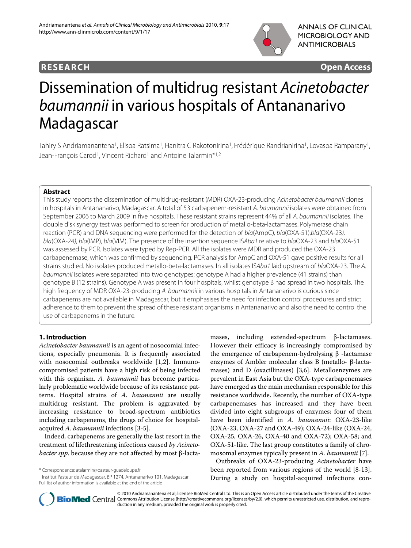

## **RESEARCH Open Access**

# Dissemination of multidrug resistant Acinetobacter baumannii in various hospitals of Antananarivo Madagascar

Tahiry S Andriamanantena<sup>1</sup>, Elisoa Ratsima<sup>1</sup>, Hanitra C Rakotonirina<sup>1</sup>, Frédérique Randrianirina<sup>1</sup>, Lovasoa Ramparany<sup>1</sup>, Jean-François Carod1, Vincent Richard1 and Antoine Talarmin\*1,2

## **Abstract**

This study reports the dissemination of multidrug-resistant (MDR) OXA-23-producing Acinetobacter baumannii clones in hospitals in Antananarivo, Madagascar. A total of 53 carbapenem-resistant A, baumannii isolates were obtained from September 2006 to March 2009 in five hospitals. These resistant strains represent 44% of all A. baumannii isolates. The double disk synergy test was performed to screen for production of metallo-beta-lactamases. Polymerase chain reaction (PCR) and DNA sequencing were performed for the detection of bla(AmpC), bla(OXA-51),bla(OXA-23), bla(OXA-24), bla(IMP), bla(VIM). The presence of the insertion sequence ISAba1 relative to blaOXA-23 and blaOXA-51 was assessed by PCR. Isolates were typed by Rep-PCR. All the isolates were MDR and produced the OXA-23 carbapenemase, which was confirmed by sequencing. PCR analysis for AmpC and OXA-51 gave positive results for all strains studied. No isolates produced metallo-beta-lactamases. In all isolates ISAba1 laid upstream of blaOXA-23. The A. baumannii isolates were separated into two genotypes; genotype A had a higher prevalence (41 strains) than genotype B (12 strains). Genotype A was present in four hospitals, whilst genotype B had spread in two hospitals. The high frequency of MDR OXA-23-producing A. baumannii in various hospitals in Antananarivo is curious since carbapenems are not available in Madagascar, but it emphasises the need for infection control procedures and strict adherence to them to prevent the spread of these resistant organisms in Antananarivo and also the need to control the use of carbapenems in the future.

## **1. Introduction**

*Acinetobacter baumannii* is an agent of nosocomial infections, especially pneumonia. It is frequently associated with nosocomial outbreaks worldwide [[1,](#page-4-0)[2\]](#page-4-1). Immunocompromised patients have a high risk of being infected with this organism. *A. baumannii* has become particularly problematic worldwide because of its resistance patterns. Hospital strains of *A. baumannii* are usually multidrug resistant. The problem is aggravated by increasing resistance to broad-spectrum antibiotics including carbapenems, the drugs of choice for hospitalacquired *A*. *baumannii* infections [[3-](#page-4-2)[5](#page-4-3)].

Indeed, carbapenems are generally the last resort in the treatment of lifethreatening infections caused *by Acinetobacter spp*. because they are not affected by most β-lactamases, including extended-spectrum β-lactamases. However their efficacy is increasingly compromised by the emergence of carbapenem-hydrolysing β -lactamase enzymes of Ambler molecular class B (metallo- β-lactamases) and D (oxacillinases) [[3,](#page-4-2)[6\]](#page-4-4). Metalloenzymes are prevalent in East Asia but the OXA-type carbapenemases have emerged as the main mechanism responsible for this resistance worldwide. Recently, the number of OXA-type carbapenemases has increased and they have been divided into eight subgroups of enzymes; four of them have been identified in *A. baumannii*: OXA-23-like (OXA-23, OXA-27 and OXA-49); OXA-24-like (OXA-24, OXA-25, OXA-26, OXA-40 and OXA-72); OXA-58; and OXA-51-like. The last group constitutes a family of chromosomal enzymes typically present in *A. baumannii* [\[7](#page-4-5)].

Outbreaks of OXA-23-producing *Acinetobacter* have been reported from various regions of the world [[8](#page-4-6)[-13](#page-4-7)]. During a study on hospital-acquired infections con-



© 2010 Andriamanantena et al; licensee BioMed Central Ltd. This is an Open Access article distributed under the terms of the Creative **Bio Med** Central Commons Attribution License (http://creativecommons.org/licenses/by/2.0), which permits unrestricted use, distribution, and reproduction in any medium, provided the original work is properly cited.

<sup>\*</sup> Correspondence: atalarmin@pasteur-guadeloupe.fr

<sup>1</sup> Institut Pasteur de Madagascar, BP 1274, Antananarivo 101, Madagascar Full list of author information is available at the end of the article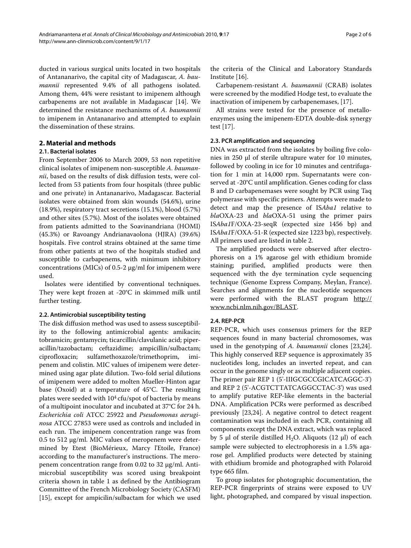ducted in various surgical units located in two hospitals of Antananarivo, the capital city of Madagascar, *A. baumannii* represented 9.4% of all pathogens isolated. Among them, 44% were resistant to imipenem although carbapenems are not available in Madagascar [\[14](#page-4-8)]. We determined the resistance mechanisms of *A. baumannii* to imipenem in Antananarivo and attempted to explain the dissemination of these strains.

## **2. Material and methods**

## **2.1. Bacterial isolates**

From September 2006 to March 2009, 53 non repetitive clinical isolates of imipenem non-susceptible *A. baumannii*, based on the results of disk diffusion tests, were collected from 53 patients from four hospitals (three public and one private) in Antananarivo, Madagascar. Bacterial isolates were obtained from skin wounds (54.6%), urine (18.9%), respiratory tract secretions (15.1%), blood (5.7%) and other sites (5.7%). Most of the isolates were obtained from patients admitted to the Soavinandriana (HOMI) (45.3%) or Ravoangy Andrianavaolona (HJRA) (39.6%) hospitals. Five control strains obtained at the same time from other patients at two of the hospitals studied and susceptible to carbapenems, with minimum inhibitory concentrations (MICs) of 0.5-2 μg/ml for imipenem were used.

Isolates were identified by conventional techniques. They were kept frozen at -20°C in skimmed milk until further testing.

#### **2.2. Antimicrobial susceptibility testing**

The disk diffusion method was used to assess susceptibility to the following antimicrobial agents: amikacin; tobramicin; gentamycin; ticarcillin/clavulanic acid; piperacillin/tazobactam; ceftazidime; ampicillin/sulbactam; ciprofloxacin; sulfamethoxazole/trimethoprim, imipenem and colistin. MIC values of imipenem were determined using agar plate dilution. Two-fold serial dilutions of imipenem were added to molten Mueller-Hinton agar base (Oxoid) at a temperature of 45°C. The resulting plates were seeded with  $10<sup>4</sup>$  cfu/spot of bacteria by means of a multipoint inoculator and incubated at 37°C for 24 h. *Escherichia coli* ATCC 25922 and *Pseudomonas aeruginosa* ATCC 27853 were used as controls and included in each run. The imipenem concentration range was from 0.5 to 512 μg/ml. MIC values of meropenem were determined by Etest (BioMérieux, Marcy l'Etoile, France) according to the manufacturer's instructions. The meropenem concentration range from 0.02 to 32 μg/ml. Antimicrobial susceptibility was scored using breakpoint criteria shown in table [1](#page-2-0) as defined by the Antibiogram Committee of the French Microbiology Society (CASFM) [[15\]](#page-4-9), except for ampicilin/sulbactam for which we used

the criteria of the Clinical and Laboratory Standards Institute [[16\]](#page-4-10).

Carbapenem-resistant *A. baumannii* (CRAB) isolates were screened by the modified Hodge test, to evaluate the inactivation of imipenem by carbapenemases, [\[17](#page-4-11)].

All strains were tested for the presence of metalloenzymes using the imipenem-EDTA double-disk synergy test [[17\]](#page-4-11).

#### **2.3. PCR amplification and sequencing**

DNA was extracted from the isolates by boiling five colonies in 250 μl of sterile ultrapure water for 10 minutes, followed by cooling in ice for 10 minutes and centrifugation for 1 min at 14,000 rpm. Supernatants were conserved at -20°C until amplification. Genes coding for class B and D carbapenemases were sought by PCR using Taq polymerase with specific primers. Attempts were made to detect and map the presence of IS*Aba1* relative to *bla*OXA-23 and *bla*OXA-51 using the primer pairs IS*Aba1*F/OXA-23-seqR (expected size 1456 bp) and IS*Aba1*F/OXA-51-R (expected size 1223 bp), respectively. All primers used are listed in table 2.

The amplified products were observed after electrophoresis on a 1% agarose gel with ethidium bromide staining; purified, amplified products were then sequenced with the dye termination cycle sequencing technique (Genome Express Company, Meylan, France). Searches and alignments for the nucleotide sequences were performed with the BLAST program [http://](http://www.ncbi.nlm.nih.gov/BLAST) [www.ncbi.nlm.nih.gov/BLAST](http://www.ncbi.nlm.nih.gov/BLAST).

### **2.4. REP-PCR**

REP-PCR, which uses consensus primers for the REP sequences found in many bacterial chromosomes, was used in the genotyping of *A. baumannii* clones [\[23](#page-4-12)[,24](#page-5-0)]. This highly conserved REP sequence is approximately 35 nucleotides long, includes an inverted repeat, and can occur in the genome singly or as multiple adjacent copies. The primer pair REP 1 (5'-IIIGCGCCGICATCAGGC-3') and REP 2 (5'-ACGTCTTATCAGGCCTAC-3') was used to amplify putative REP-like elements in the bacterial DNA. Amplification PCRs were performed as described previously [[23,](#page-4-12)[24\]](#page-5-0). A negative control to detect reagent contamination was included in each PCR, containing all components except the DNA extract, which was replaced by 5 μl of sterile distilled H<sub>2</sub>O. Aliquots (12 μl) of each sample were subjected to electrophoresis in a 1.5% agarose gel. Amplified products were detected by staining with ethidium bromide and photographed with Polaroid type 665 film.

To group isolates for photographic documentation, the REP-PCR fingerprints of strains were exposed to UV light, photographed, and compared by visual inspection.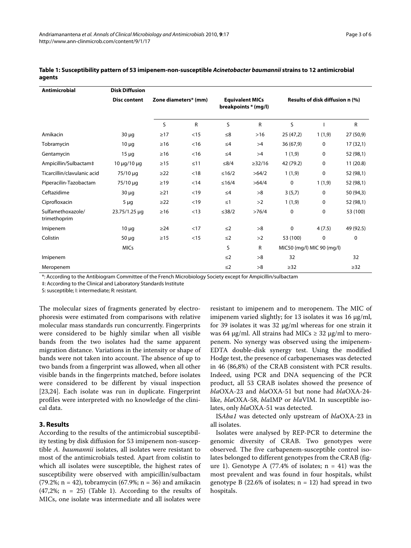| Antimicrobial                     | <b>Disk Diffusion</b> |                      |              |                                                |              |                                 |        |           |
|-----------------------------------|-----------------------|----------------------|--------------|------------------------------------------------|--------------|---------------------------------|--------|-----------|
|                                   | <b>Disc content</b>   | Zone diameters* (mm) |              | <b>Equivalent MICs</b><br>breakpoints * (mg/l) |              | Results of disk diffusion n (%) |        |           |
|                                   |                       | S                    | $\mathsf{R}$ | S                                              | $\mathsf{R}$ | S                               |        | R         |
| Amikacin                          | $30 \mu g$            | $\geq$ 17            | <15          | $\leq 8$                                       | $>16$        | 25(47,2)                        | 1(1,9) | 27(50,9)  |
| Tobramycin                        | $10 \mu g$            | $\geq 16$            | $<$ 16       | $\leq 4$                                       | >4           | 36(67,9)                        | 0      | 17(32,1)  |
| Gentamycin                        | $15 \mu g$            | $\geq 16$            | $<$ 16       | $\leq 4$                                       | >4           | 1(1,9)                          | 0      | 52 (98,1) |
| Ampicillin/Sulbactam‡             | $10 \mu q/10 \mu q$   | $\geq 15$            | $\leq 11$    | $\leq 8/4$                                     | $\geq$ 32/16 | 42 (79.2)                       | 0      | 11(20.8)  |
| Ticarcillin/clavulanic acid       | 75/10 µg              | $\geq$ 22            | < 18         | $≤16/2$                                        | >64/2        | 1(1,9)                          | 0      | 52 (98,1) |
| Piperacilin-Tazobactam            | 75/10 µg              | $\geq$ 19            | < 14         | $≤16/4$                                        | >64/4        | 0                               | 1(1,9) | 52 (98,1) |
| Ceftazidime                       | $30 \mu g$            | $\geq$ 21            | < 19         | $\leq 4$                                       | >8           | 3(5,7)                          | 0      | 50 (94,3) |
| Ciprofloxacin                     | $5 \mu g$             | $\geq$ 22            | < 19         | $\leq$ 1                                       | >2           | 1(1,9)                          | 0      | 52 (98,1) |
| Sulfamethoxazole/<br>trimethoprim | 23.75/1.25 µg         | $\geq 16$            | < 13         | $≤38/2$                                        | >76/4        | 0                               | 0      | 53 (100)  |
| Imipenem                          | $10 \mu g$            | $\geq$ 24            | <17          | $\leq$ 2                                       | >8           | 0                               | 4(7.5) | 49 (92.5) |
| Colistin                          | $50 \mu g$            | $\geq$ 15            | < 15         | $\leq$ 2                                       | >2           | 53 (100)                        | 0      | 0         |
|                                   | <b>MICs</b>           |                      |              | S                                              | $\mathsf{R}$ | MIC50 (mg/l) MIC 90 (mg/l)      |        |           |
| Imipenem                          |                       |                      |              | $\leq$ 2                                       | >8           | 32                              |        | 32        |
| Meropenem                         |                       |                      |              | $\leq$ 2                                       | >8           | $\geq$ 32                       |        | $\geq$ 32 |

## <span id="page-2-0"></span>**Table 1: Susceptibility pattern of 53 imipenem-non-susceptible Acinetobacter baumannii strains to 12 antimicrobial agents**

\*: According to the Antibiogram Committee of the French Microbiology Society except for Ampicillin/sulbactam

‡: According to the Clinical and Laboratory Standards Institute

S: susceptible; I: intermediate; R: resistant.

The molecular sizes of fragments generated by electrophoresis were estimated from comparisons with relative molecular mass standards run concurrently. Fingerprints were considered to be highly similar when all visible bands from the two isolates had the same apparent migration distance. Variations in the intensity or shape of bands were not taken into account. The absence of up to two bands from a fingerprint was allowed, when all other visible bands in the fingerprints matched, before isolates were considered to be different by visual inspection [[23,](#page-4-12)[24\]](#page-5-0). Each isolate was run in duplicate. Fingerprint profiles were interpreted with no knowledge of the clinical data.

## **3. Results**

According to the results of the antimicrobial susceptibility testing by disk diffusion for 53 imipenem non-susceptible *A. baumannii* isolates, all isolates were resistant to most of the antimicrobials tested. Apart from colistin to which all isolates were susceptible, the highest rates of susceptibility were observed with ampicillin/sulbactam (79.2%; n = 42), tobramycin (67.9%; n = 36) and amikacin  $(47,2\%; n = 25)$  (Table [1](#page-2-0)). According to the results of MICs, one isolate was intermediate and all isolates were resistant to imipenem and to meropenem. The MIC of imipenem varied slightly; for 13 isolates it was 16 μg/ml, for 39 isolates it was 32 μg/ml whereas for one strain it was 64 μg/ml. All strains had MICs  $\ge$  32 μg/ml to meropenem. No synergy was observed using the imipenem-EDTA double-disk synergy test. Using the modified Hodge test, the presence of carbapenemases was detected in 46 (86,8%) of the CRAB consistent with PCR results. Indeed, using PCR and DNA sequencing of the PCR product, all 53 CRAB isolates showed the presence of *bla*OXA-23 and *bla*OXA-51 but none had *bla*OXA-24 like, *bla*OXA-58, *bla*IMP or *bla*VIM. In susceptible isolates, only *bla*OXA-51 was detected.

IS*Aba1* was detected only upstream of *bla*OXA-23 in all isolates.

Isolates were analysed by REP-PCR to determine the genomic diversity of CRAB. Two genotypes were observed. The five carbapenem-susceptible control isolates belonged to different genotypes from the CRAB (fig-ure [1\)](#page-3-0). Genotype A (77.4% of isolates;  $n = 41$ ) was the most prevalent and was found in four hospitals, whilst genotype B (22.6% of isolates;  $n = 12$ ) had spread in two hospitals.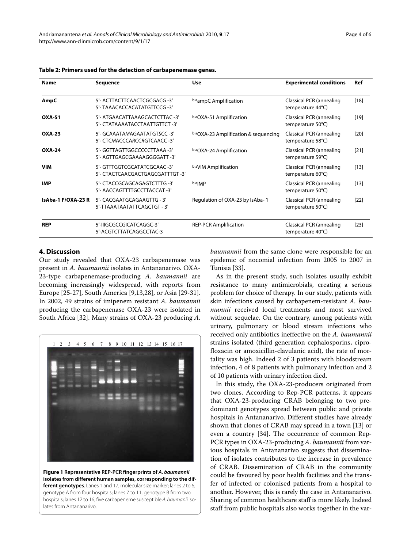| <b>Name</b>        | <b>Sequence</b>                                                  | Use                                  | <b>Experimental conditions</b>                | Ref    |
|--------------------|------------------------------------------------------------------|--------------------------------------|-----------------------------------------------|--------|
| AmpC               | 5'- ACTTACTTCAACTCGCGACG -3'<br>5'- TAAACACCACATATGTTCCG -3'     | bla <sub>a</sub> mpC Amplification   | Classical PCR (annealing<br>temperature 44°C) | $[18]$ |
| <b>OXA-51</b>      | 5'- ATGAACATTAAAGCACTCTTAC -3'<br>5'- CTATAAAATACCTAATTGTTCT-3'  | bla <sub>O</sub> XA-51 Amplification | Classical PCR (annealing<br>temperature 50°C) | $[19]$ |
| $OXA-23$           | 5'- GCAAATAMAGAATATGTSCC -3'<br>5'- CTCMACCCARCCRGTCAACC -3'     | blaOXA-23 Amplification & sequencing | Classical PCR (annealing<br>temperature 58°C) | $[20]$ |
| <b>OXA-24</b>      | 5'- GGTTAGTTGGCCCCCTTAAA -3'<br>5'- AGTTGAGCGAAAAGGGGATT -3'     | bla <sub>O</sub> XA-24 Amplification | Classical PCR (annealing<br>temperature 59°C) | $[21]$ |
| <b>VIM</b>         | 5'- GTTTGGTCGCATATCGCAAC -3'<br>5'- CTACTCAACGACTGAGCGATTTGT -3' | blaVIM Amplification                 | Classical PCR (annealing<br>temperature 60°C) | $[13]$ |
| <b>IMP</b>         | 5'- CTACCGCAGCAGAGTCTTTG -3'<br>5'- AACCAGTTTTGCCTTACCAT -3'     | bla <sub>IMP</sub>                   | Classical PCR (annealing<br>temperature 50°C) | $[13]$ |
| IsAba-1 F/OXA-23 R | 5'- CACGAATGCAGAAGTTG - 3'<br>5'-TTAAATAATATTCAGCTGT - 3'        | Regulation of OXA-23 by IsAba-1      | Classical PCR (annealing<br>temperature 50°C) | $[22]$ |
| <b>REP</b>         | 5'-IIIGCGCCGICATCAGGC-3'<br>5'-ACGTCTTATCAGGCCTAC-3              | <b>REP-PCR Amplification</b>         | Classical PCR (annealing<br>temperature 40°C) | $[23]$ |

**Table 2: Primers used for the detection of carbapenemase genes.**

## **4. Discussion**

Our study revealed that OXA-23 carbapenemase was present in *A. baumannii* isolates in Antananarivo. OXA-23-type carbapenemase-producing *A. baumannii* are becoming increasingly widespread, with reports from Europe [[25](#page-5-1)-[27\]](#page-5-2), South America [[9](#page-4-18)[,13](#page-4-7)[,28](#page-5-3)], or Asia [[29-](#page-5-4)[31](#page-5-5)]. In 2002, 49 strains of imipenem resistant *A. baumannii* producing the carbapenenase OXA-23 were isolated in South Africa [[32\]](#page-5-6). Many strains of OXA-23 producing *A.*

<span id="page-3-0"></span>

**Figure 1 Representative REP-PCR fingerprints of A. baumannii isolates from different human samples, corresponding to the different genotypes**. Lanes 1 and 17, molecular size marker; lanes 2 to 6, genotype A from four hospitals; lanes 7 to 11, genotype B from two hospitals; lanes 12 to 16, five carbapeneme susceptible A. baumanii isolates from Antananarivo.

*baumannii* from the same clone were responsible for an epidemic of nocomial infection from 2005 to 2007 in Tunisia [\[33](#page-5-7)].

As in the present study, such isolates usually exhibit resistance to many antimicrobials, creating a serious problem for choice of therapy. In our study, patients with skin infections caused by carbapenem-resistant *A. baumannii* received local treatments and most survived without sequelae. On the contrary, among patients with urinary, pulmonary or blood stream infections who received only antibiotics ineffective on the *A. baumannii* strains isolated (third generation cephalosporins, ciprofloxacin or amoxicillin-clavulanic acid), the rate of mortality was high. Indeed 2 of 3 patients with bloodstream infection, 4 of 8 patients with pulmonary infection and 2 of 10 patients with urinary infection died.

In this study, the OXA-23-producers originated from two clones. According to Rep-PCR patterns, it appears that OXA-23-producing CRAB belonging to two predominant genotypes spread between public and private hospitals in Antananarivo. Different studies have already shown that clones of CRAB may spread in a town [\[13\]](#page-4-7) or even a country [\[34](#page-5-8)]. The occurrence of common Rep-PCR types in OXA-23-producing *A. baumannii* from various hospitals in Antananarivo suggests that dissemination of isolates contributes to the increase in prevalence of CRAB. Dissemination of CRAB in the community could be favoured by poor health facilities and the transfer of infected or colonised patients from a hospital to another. However, this is rarely the case in Antananarivo. Sharing of common healthcare staff is more likely. Indeed staff from public hospitals also works together in the var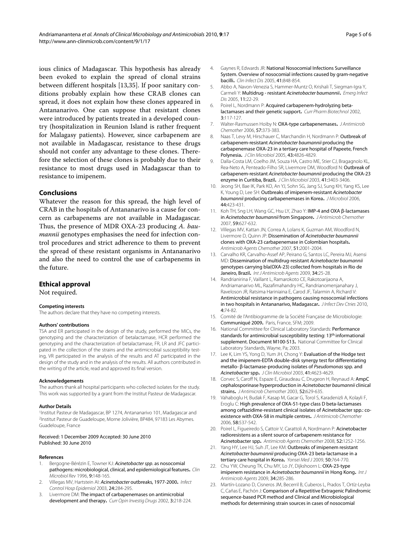ious clinics of Madagascar. This hypothesis has already been evoked to explain the spread of clonal strains between different hospitals [[13](#page-4-7),[35](#page-5-9)]. If poor sanitary conditions probably explain how these CRAB clones can spread, it does not explain how these clones appeared in Antananarivo. One can suppose that resistant clones were introduced by patients treated in a developed country (hospitalization in Reunion Island is rather frequent for Malagasy patients). However, since carbapenem are not available in Madagascar, resistance to these drugs should not confer any advantage to these clones. Therefore the selection of these clones is probably due to their resistance to most drugs used in Madagascar than to resistance to imipenem.

## **Conclusions**

Whatever the reason for this spread, the high level of CRAB in the hospitals of Antananarivo is a cause for concern as carbapenems are not available in Madagascar. Thus, the presence of MDR OXA-23 producing *A. baumannii* genotypes emphasises the need for infection control procedures and strict adherence to them to prevent the spread of these resistant organisms in Antananarivo and also the need to control the use of carbapenems in the future.

## **Ethical approval**

Not required.

#### **Competing interests**

The authors declare that they have no competing interests.

#### **Authors' contributions**

TSA and ER participated in the design of the study, performed the MICs, the genotyping and the characterization of betalactamase, HCR performed the genotyping and the characterization of betalactamase, FR, LR and JFC participated in the collection of the strains and the antimicrobial susceptibility testing, VR participated in the analysis of the results and AT participated in the design of the study and in the analysis of the results. All authors contributed in the writing of the article, read and approved its final version.

#### **Acknowledgements**

The authors thank all hospital participants who collected isolates for the study. This work was supported by a grant from the Institut Pasteur de Madagascar.

#### **Author Details**

1Institut Pasteur de Madagascar, BP 1274, Antananarivo 101, Madagascar and 2Institut Pasteur de Guadeloupe, Morne Jolivière, BP484, 97183 Les Abymes. Guadeloupe, France

#### Received: 1 December 2009 Accepted: 30 June 2010 Published: 30 June 2010

#### **References**

- <span id="page-4-0"></span>Bergogne-Bérézin E, Towner KJ: Acinetobacter spp. as nosocomial pathogens: microbiological, clinical, and epidemiological features**.** Clin Microbiol Rev 1996, 9:148-165.
- <span id="page-4-1"></span>2. Villegas MV, Hartstein AI: Acinetobacter outbreaks, 1977-2000**[.](http://www.ncbi.nlm.nih.gov/entrez/query.fcgi?cmd=Retrieve&db=PubMed&dopt=Abstract&list_uids=12725359)** Infect Control Hosp Epidemiol 2003, 24:284-295.
- <span id="page-4-2"></span>3. Livermore DM: The impact of carbapenemases on antimicrobial development and therapy**.** Curr Opin Investig Drugs 2002, 3:218-224.
- 4. Gaynes R, Edwards JR: National Nosocomial Infections Surveillance System. Overview of nosocomial infections caused by gram-negative bacilli**.** Clin Infect Dis 2005, 41:848-854.
- <span id="page-4-3"></span>5. Abbo A, Navon-Venezia S, Hammer-Muntz O, Krishali T, Siegman-Igra Y, Carmeli Y: Multidrug - resistant Acinetobacter baumannii**.** Emerg Infect Dis 2005, 11:22-29.
- <span id="page-4-4"></span>6. Poirel L, Nordmann P: Acquired carbapenem-hydrolyzing betalactamases and their genetic support**[.](http://www.ncbi.nlm.nih.gov/entrez/query.fcgi?cmd=Retrieve&db=PubMed&dopt=Abstract&list_uids=12022255)** Curr Pharm Biotechnol 2002, 3:117-127.
- <span id="page-4-5"></span>7. Walter-Rasmussen Hoiby N: OXA-type carbapenemases**.** J Antimicrob Chemother 2006, 57:373-383.
- <span id="page-4-6"></span>8. Naas T, Levy M, Hirschauer C, Marchandin H, Nordmann P: Outbreak of carbapenem-resistant Acinetobacter baumannii producing the carbapenemase OXA-23 in a tertiary care hospital of Papeete, French Polynesia**.** J Clin Microbiol 2005, 43:4826-4829.
- <span id="page-4-18"></span>9. Dalla-Costa LM, Coelho JM, Souza HA, Castro ME, Stier CJ, Bragagnolo KL, Rea-Neto A, Penteado-Filho SR, Livermore DM, Woodford N: Outbreak of carbapenem-resistant Acinetobacter baumannii producing the OXA-23 enzyme in Curitiba, Brazil**[.](http://www.ncbi.nlm.nih.gov/entrez/query.fcgi?cmd=Retrieve&db=PubMed&dopt=Abstract&list_uids=12843104)** J Clin Microbiol 2003, 41:3403-3406.
- 10. Jeong SH, Bae IK, Park KO, An YJ, Sohn SG, Jang SJ, Sung KH, Yang KS, Lee K, Young D, Lee SH: **Outbreaks of imipenem-resistant Acinetobacter** baumannii producing carbapenemases in Korea**.** J Microbiol 2006, 44:423-431.
- 11. Koh TH, Sng LH, Wang GC, Hsu LY, Zhao Y: IMP-4 and OXA β-lactamases in Acinetobacter baumannii from Singapore**[.](http://www.ncbi.nlm.nih.gov/entrez/query.fcgi?cmd=Retrieve&db=PubMed&dopt=Abstract&list_uids=17284537)** J Antimicrob Chemother 2007, 59:627-632.
- 12. Villegas MV, Kattan JN, Correa A, Lolans K, Guzman AM, Woodford N, Livermore D, Quinn JP: Dissemination of Acinetobacter baumannii clones with OXA-23 carbapenemase in Colombian hospitals**.** Antimicrob Agents Chemother 2007, 51:2001-2004.
- <span id="page-4-7"></span>13. Carvalho KR, Carvalho-Assef AP, Peirano G, Santos LC, Pereira MJ, Asensi MD: Dissemination of multidrug-resistant Acinetobacter baumannii genotypes carrying bla(OXA-23) collected from hospitals in Rio de Janeiro, Brazil**.** Int J Antimicrob Agents 2009, 34:25-28.
- <span id="page-4-8"></span>14. Randrianirina F, Vaillant L, Ramarokoto CE, Rakotoarijaona A, Andriamanarivo ML, Razafimahandry HC, Randrianomenjanahary J, Raveloson JR, Ratsima Hariniaina E, Carod JF, Talarmin A, Richard V: Antimicrobial resistance in pathogens causing nosocomial infections in two hospitals in Antananarivo, Madagascar**.** J Infect Dev Ctries 2010, 4:74-82.
- <span id="page-4-9"></span>15. Comité de l'Antibiogramme de la Société Française de Microbiologie: Communiqué 2009**.** Paris, France, SFM; 2009.
- <span id="page-4-10"></span>16. National Committee for Clinical Laboratory Standards: Performance standards for antimicrobial susceptibility testing: 13th informational supplement. Document M100-S13**.** National Committee for Clinical Laboratory Standards, Wayne, Pa; 2003.
- <span id="page-4-11"></span>17. Lee K, Lim YS, Yong D, Yum JH, Chong Y: Evaluation of the Hodge test and the imipenem-EDTA double-disk synergy test for differentiating metallo- β-lactamase-producing isolates of Pseudomonas spp. and Acinetobacter spp**[.](http://www.ncbi.nlm.nih.gov/entrez/query.fcgi?cmd=Retrieve&db=PubMed&dopt=Abstract&list_uids=14532193)** J Clin Microbiol 2003, 41:4623-4629.
- <span id="page-4-13"></span>18. Corvec S, Caroff N, Espaze E, Giraudeau C, Drugeon H, Reynaud A: AmpC cephalosporinase hyperproduction in Acinetobacter baumannii clinical strains. *J Antimicrob Chemother* 2003, 52:629-635.
- <span id="page-4-14"></span>19. Vahaboglu H, Budak F, Kasap M, Gacar G, Torol S, Karadenizli A, Kolayli F, Eroglu C: High prevalence of OXA-51-type class D beta-lactamases among ceftazidime-resistant clinical isolates of Acinetobacter spp.: coexistence with OXA-58 in multiple centres**[.](http://www.ncbi.nlm.nih.gov/entrez/query.fcgi?cmd=Retrieve&db=PubMed&dopt=Abstract&list_uids=16816400)** J Antimicrob Chemother 2006, 58:537-542.
- <span id="page-4-15"></span>20. Poirel L, Figueiredo S, Cattoir V, Carattoli A, Nordmann P: Acinetobacter radioresistens as a silent source of carbapenem resistance for Acinetobacter spp**.** Antimicrob Agents Chemother 2008, 52:1252-1256.
- <span id="page-4-16"></span>21. Yang HY, Lee HJ, Suh JT, Lee KM: Outbreaks of imipenem resistant Acinetobacter baumannii producing OXA-23 beta-lactamase in a tertiary care hospital in Korea**.** Yonsei Med J 2009, 50:764-770.
- <span id="page-4-17"></span>22. Chu YW, Cheung TK, Chu MY, Lo JY, Dijkshoorn L: OXA-23-type imipenem resistance in Acinetobacter baumannii in Hong Kong**.** Int J Antimicrob Agents 2009, 34:285-286.
- <span id="page-4-12"></span>23. Martín-Lozano D, Cisneros JM, Becerril B, Cuberos L, Prados T, Ortíz-Leyba C, Cañas E, Pachón J: Comparison of a Repetitive Extragenic Palindromic sequence-based PCR method and Clinical and Microbiological methods for determining strain sources in cases of nosocomial